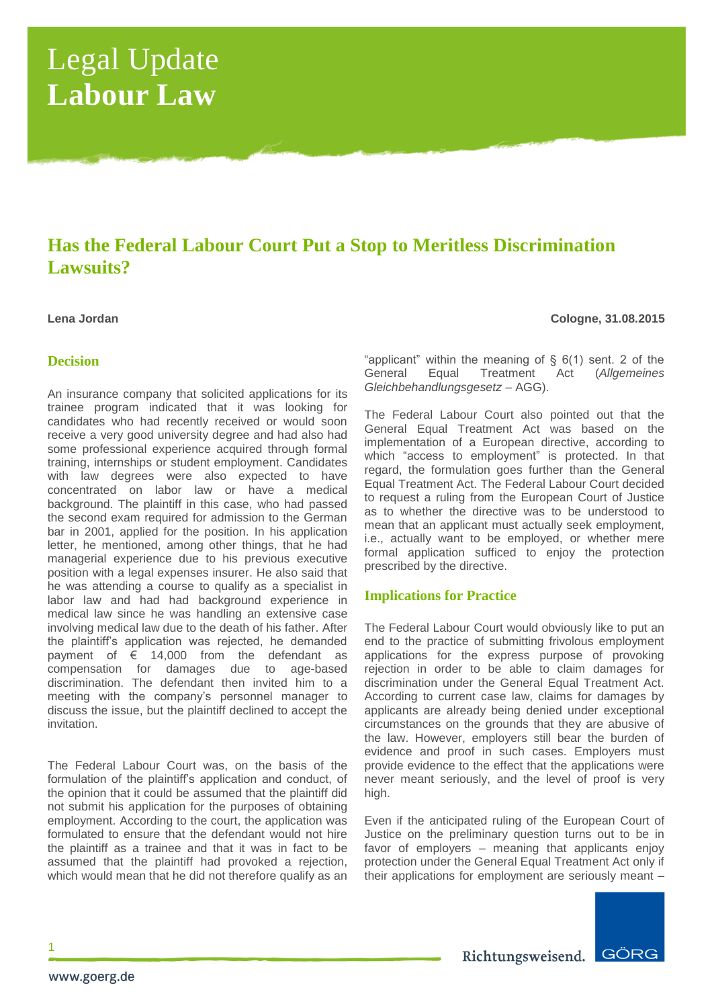# Legal Update **Labour Law**

# **Has the Federal Labour Court Put a Stop to Meritless Discrimination Lawsuits?**

**Lena Jordan Cologne, 31.08.2015**

# **Decision**

An insurance company that solicited applications for its trainee program indicated that it was looking for candidates who had recently received or would soon receive a very good university degree and had also had some professional experience acquired through formal training, internships or student employment. Candidates with law degrees were also expected to have concentrated on labor law or have a medical background. The plaintiff in this case, who had passed the second exam required for admission to the German bar in 2001, applied for the position. In his application letter, he mentioned, among other things, that he had managerial experience due to his previous executive position with a legal expenses insurer. He also said that he was attending a course to qualify as a specialist in labor law and had had background experience in medical law since he was handling an extensive case involving medical law due to the death of his father. After the plaintiff's application was rejected, he demanded payment of  $\epsilon$  14,000 from the defendant as compensation for damages due to age-based discrimination. The defendant then invited him to a meeting with the company's personnel manager to discuss the issue, but the plaintiff declined to accept the invitation.

The Federal Labour Court was, on the basis of the formulation of the plaintiff's application and conduct, of the opinion that it could be assumed that the plaintiff did not submit his application for the purposes of obtaining employment. According to the court, the application was formulated to ensure that the defendant would not hire the plaintiff as a trainee and that it was in fact to be assumed that the plaintiff had provoked a rejection, which would mean that he did not therefore qualify as an

"applicant" within the meaning of  $\S$  6(1) sent. 2 of the General Equal Treatment Act (*Allgemeines Gleichbehandlungsgesetz* – AGG).

The Federal Labour Court also pointed out that the General Equal Treatment Act was based on the implementation of a European directive, according to which "access to employment" is protected. In that regard, the formulation goes further than the General Equal Treatment Act. The Federal Labour Court decided to request a ruling from the European Court of Justice as to whether the directive was to be understood to mean that an applicant must actually seek employment, i.e., actually want to be employed, or whether mere formal application sufficed to enjoy the protection prescribed by the directive.

# **Implications for Practice**

The Federal Labour Court would obviously like to put an end to the practice of submitting frivolous employment applications for the express purpose of provoking rejection in order to be able to claim damages for discrimination under the General Equal Treatment Act. According to current case law, claims for damages by applicants are already being denied under exceptional circumstances on the grounds that they are abusive of the law. However, employers still bear the burden of evidence and proof in such cases. Employers must provide evidence to the effect that the applications were never meant seriously, and the level of proof is very high.

Even if the anticipated ruling of the European Court of Justice on the preliminary question turns out to be in favor of employers – meaning that applicants enjoy protection under the General Equal Treatment Act only if their applications for employment are seriously meant –